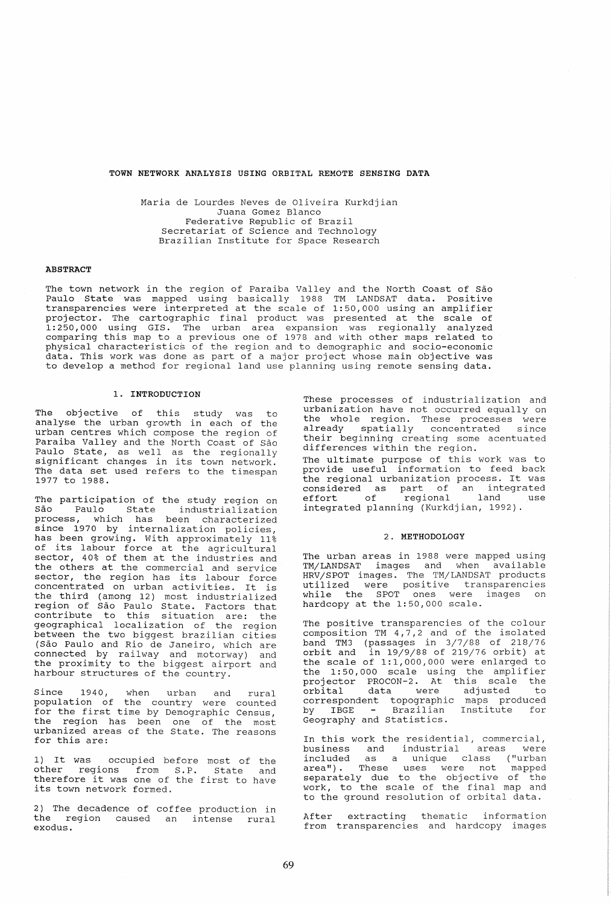# **TOWN NETWORK ANALYSIS USING ORBITAL REMOTE SENSING DATA**

Maria de Lourdes Neves de Oliveira Kurkdjian Juana Gomez Blanco Federative Republic of Brazil Secretariat of Science and Technology Brazilian Institute for Space Research

## **ABSTRACT**

The town network in the region of Paraiba Valley and the North Coast of São Paulo State was mapped uSlng basically 1988 TM LANDSAT data. Positive transparencies were interpreted at the scale of 1:50,000 using an amplifier projector. The cartographic final product was presented at the scale of 1:250,000 using GIS. The urban area expansion was regionally analyzed comparing this map to a previous one of 1978 and with other maps related to physical characteristics of the region and to demographic and socio-economic data. This work was done as part of a major project whose main objective was to develop a method for regional land use planning using remote sensing data.

## 1. **INTRODUCTION**

The objective of this study was to analyse the urban growth in each of the urban centres which compose the region of Paraiba Valley and the North Coast of São Paulo State, as well as the regionally significant changes in its town network. The data set used refers to the timespan 1977 to 1988.

The participation of the study region on Sao Paulo State industrialization process, which has been characterized since 1970 by internalization policies, has been growing. with approximately 11% of its labour force at the agricultural sector, 40% of them at the industries and the others at the commercial and service sector, the region has its labour force sector, the region has its fabout force<br>concentrated on urban activities. It is the third (among 12) most industrialized region of Sao Paulo state. Factors that contribute to this situation are: the geographical localization of the region between the two biggest brazilian cities<br>(São Paulo and Rio de Janeiro, which are (Sao Paulo and Rio de Janeiro, which are connected by railway and motorway) and the proximity to the biggest airport and harbour structures of the country.

Since 1940, when urban and rural population of the country were counted for the first time by Demographic Census, the region has been one of the most urbanized areas of the State. The reasons for this are:

1) It was occupied before most of the other regions from S.P. State and therefore it was one of the first to have its town network formed.

2) The decadence of coffee production in the region caused an intense rural exodus.

These processes of industrialization and<br>urbanization have not occurred equally on the whole region. These processes were<br>already spatially concentrated since their beginning creating some acentuated differences within the region. The ultimate purpose of this work was to provide useful information to feed back<br>the regional urbanization process. It was the regional urbanization process. It was considered as part of an integrated effort of regional land use integrated planning (Kurkdjian, 1992).

#### 2. **METHODOLOGY**

The urban areas in 1988 were mapped using TM/LANDSAT images and when available HRV /SPOT images. The TM/LANDSAT products mayor intern, million produces while the SPOT ones were images on<br>hardcopy at the 1:50,000 scale.

The positive transparencies of the colour composition TM 4,7,2 and of the isolated band TM3 (passages in 3/7/88 of 218/76  $\frac{1}{2}$  orbit and in 19/9/88 of 219/76 orbit) at the scale of 1:1,000,000 were enlarged to the 1:50,000 scale using the amplifier projector PROCON-2. At this scale the projector filosof *Br* and state the control of the control of the control of the control of the control of the c<br>orbital data were adjusted to correspondent topographic maps produced<br>by IBGE – Brazilian Institute for Geography and Statistics.

In this work the residential, commercial,<br>business and industrial areas were business and industrial areas were included as a unique class ("urban area ") . These uses were not mapped area ,. These ases were not mapped<br>separately due to the objective of the work, to the scale of the final map and to the ground resolution of orbital data.

After extracting thematic information from transparencies and hardcopy images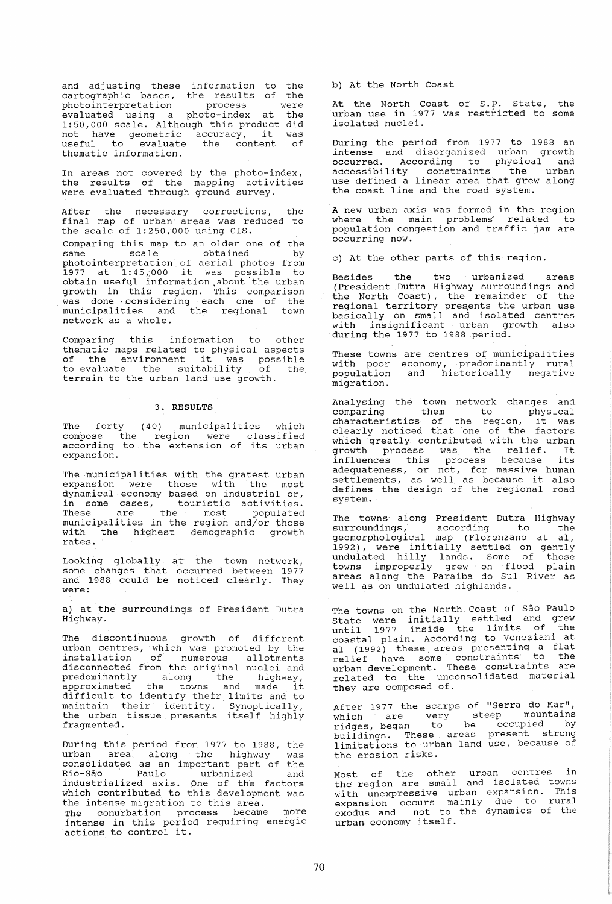and adjusting these information to cartographic bases, the results of photointerpretation process evaluated using a photo-index at 1:50,000 scale. Although this product 1:50,000 scale. Although this product<br>not have geometric accuracy, it useful to evaluate the content thematic information. the the were the did was of

In areas not covered by the photo-index, the results of the mapping activities were evaluated through ground survey.

After the necessary corrections, the final map of urban areas was reduced to the scale of 1:250,000 using GIS.

comparing this map to an older one of the same scale obtained by photointerpretation of aerial photos from<br>1977 at 1:45,000 it was possible to<br>obtain useful information about the urban growth in this region. This comparison was done ~considering each one of the municipalities and the regional town network as a whole.

Comparing this information to other thematic maps related to physical aspects thematic maps related to physical aspects<br>of the environment it was possible to evaluate the suitability of the terrain to the urban land use growth.

## 3. **RESULTS**

The forty (40) municipalities which compose the region were classified according to the extension of its urban expansion.

The municipalities with the gratest urban expansion were those with the most dynamical economy based on industrial or, in some cases, touristic activities. These are the most populated municipalities in the region and/or those with the highest demographic growth rates.

Looking globally at the town network, some changes that occurred between 1977 and 1988 could be noticed clearly. They<br>and 1988 could be noticed clearly. They

a) at the surroundings of President Dutra Highway.

The discontinuous growth of different urban centres, which was promoted by the installation of numerous allotments disconnected from the original nuclei and predominantly along the highway, approximated the towns and made it difficult to identify their limits and to affilied to dentify their finites and to<br>maintain their identity. Synoptically, maintain their fachtrey. Bynopercarry, fragmented.

During this period from 1977 to 1988, the urban area along the highway was consolidated as an important part of the consolidated as an important part of the<br>Rio-São 'Paulo' urbanized' and industrialized axis. One of the factors the intense migration to this area.<br>The conurbation process became more intense in this period requiring energic

actions to control it.

b) At the North Coast

At the North Coast of S.P. State, the urban use in 1977 was restricted to some isolated nuclei.

During the period from 1977 to 1988 an intense and disorganized urban growth occurred. According to physical and accessibility constraints the urban use defined a linear area that grew along the coast line and the road system.

A new urban axis was formed in the region where the main problems related to population congestion and traffic jam are occurring now.

c) At the other parts of this region.

Besides the two urbanized areas (President Dutra Highway surroundings and the North Coast), the remainder of the regional territory presents the urban use<br>basically on small and isolated centres Editionally on Demali and IBSTRICH CONCICE. during the 1977 to 1988 period.

These towns are centres of municipalities with poor economy, predominantly rural population and historically negative migration.

Analysing the town network changes and comparing them to physical characteristics of the region, it was clearly noticed that one of the factors which greatly contributed with the urban which greatly concributed with the diban<br>growth process was the relief. It growth process was the refler. It adequateness, or not, for massive human settlements, as well as because it also defines the design of the regional road system.

The towns' along President Dutra Highway surroundings, according to the geomorphological map (Florenzano at aI, 1992), were initially settled on gently 1992,, were inferently because on genery towns improperly grew on flood plain areas along the Paraiba do SuI River as well as on undulated highlands.

The towns on the North Coast of São Paulo The cowns on the North coded of sacrame. until 1977 inside the limits of the coastal plain. According to Veneziani at al (1992) these, areas presenting a flat al (1992) chese areas presenting a searurban development. These constraints are related to the unconsolidated material related to the unconsolidated material<br>they are composed of.

After 1977 the scarps of "Serra do Mar", which are very steep mountains which are  $\begin{bmatrix} 1 & 1 \\ 0 & 1 \end{bmatrix}$  be occupied by buildings. These areas present strong limitations to urban land use, because of the erosion risks.

Most of the other urban centres in host of the sensit arrant sensitions with unexpressive urban expansion. This with dhexpressive disan enpansion rural expansion occurs mainty the contract of the urban economy itself.